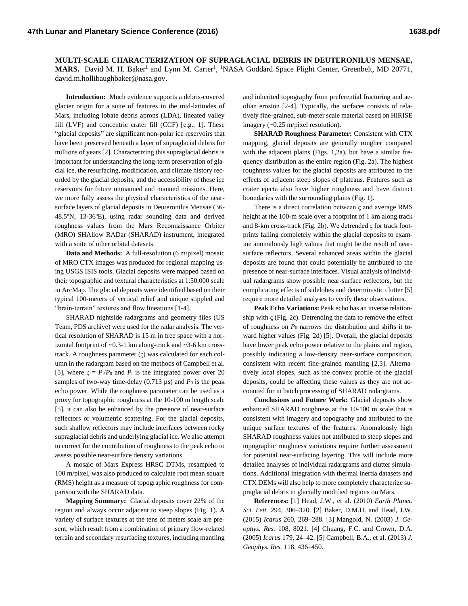**MULTI-SCALE CHARACTERIZATION OF SUPRAGLACIAL DEBRIS IN DEUTERONILUS MENSAE,**  MARS. David M. H. Baker<sup>1</sup> and Lynn M. Carter<sup>1</sup>, <sup>1</sup>NASA Goddard Space Flight Center, Greenbelt, MD 20771, david.m.hollibaughbaker@nasa.gov.

**Introduction:** Much evidence supports a debris-covered glacier origin for a suite of features in the mid-latitudes of Mars, including lobate debris aprons (LDA), lineated valley fill (LVF) and concentric crater fill (CCF) [e.g., 1]. These "glacial deposits" are significant non-polar ice reservoirs that have been preserved beneath a layer of supraglacial debris for millions of years [2]. Characterizing this supraglacial debris is important for understanding the long-term preservation of glacial ice, the resurfacing, modification, and climate history recorded by the glacial deposits, and the accessibility of these ice reservoirs for future unmanned and manned missions. Here, we more fully assess the physical characteristics of the nearsurface layers of glacial deposits in Deuteronilus Mensae (36- 48.5ºN, 13-36ºE), using radar sounding data and derived roughness values from the Mars Reconnaissance Orbiter (MRO) SHAllow RADar (SHARAD) instrument, integrated with a suite of other orbital datasets.

**Data and Methods:** A full-resolution (6 m/pixel) mosaic of MRO CTX images was produced for regional mapping using USGS ISIS tools. Glacial deposits were mapped based on their topographic and textural characteristics at 1:50,000 scale in ArcMap. The glacial deposits were identified based on their typical 100-meters of vertical relief and unique stippled and "brain-terrain" textures and flow lineations [1-4].

SHARAD nightside radargrams and geometry files (US Team, PDS archive) were used for the radar analysis. The vertical resolution of SHARAD is 15 m in free space with a horizontal footprint of ~0.3-1 km along-track and ~3-6 km crosstrack. A roughness parameter  $(\varsigma)$  was calculated for each column in the radargram based on the methods of Campbell et al. [5], where  $\zeta = P_i/P_0$  and  $P_i$  is the integrated power over 20 samples of two-way time-delay  $(0.713 \,\mu s)$  and  $P_0$  is the peak echo power. While the roughness parameter can be used as a proxy for topographic roughness at the 10-100 m length scale [5], it can also be enhanced by the presence of near-surface reflectors or volumetric scattering. For the glacial deposits, such shallow reflectors may include interfaces between rocky supraglacial debris and underlying glacial ice. We also attempt to correct for the contribution of roughness to the peak echo to assess possible near-surface density variations.

A mosaic of Mars Express HRSC DTMs, resampled to 100 m/pixel, was also produced to calculate root mean square (RMS) height as a measure of topographic roughness for comparison with the SHARAD data.

**Mapping Summary:** Glacial deposits cover 22% of the region and always occur adjacent to steep slopes (Fig. 1). A variety of surface textures at the tens of meters scale are present, which result from a combination of primary flow-related terrain and secondary resurfacing textures, including mantling and inherited topography from preferential fracturing and aeolian erosion [2-4]. Typically, the surfaces consists of relatively fine-grained, sub-meter scale material based on HiRISE imagery (~0.25 m/pixel resolution).

**SHARAD Roughness Parameter:** Consistent with CTX mapping, glacial deposits are generally rougher compared with the adjacent plains (Figs. 1,2a), but have a similar frequency distribution as the entire region (Fig. 2a). The highest roughness values for the glacial deposits are attributed to the effects of adjacent steep slopes of plateaus. Features such as crater ejecta also have higher roughness and have distinct boundaries with the surrounding plains (Fig. 1).

There is a direct correlation between  $\varsigma$  and average RMS height at the 100-m scale over a footprint of 1 km along track and 8-km cross-track (Fig. 2b). We detrended  $\zeta$  for track footprints falling completely within the glacial deposits to examine anomalously high values that might be the result of nearsurface reflectors. Several enhanced areas within the glacial deposits are found that could potentially be attributed to the presence of near-surface interfaces. Visual analysis of individual radargrams show possible near-surface reflectors, but the complicating effects of sidelobes and deterministic clutter [5] require more detailed analyses to verify these observations.

**Peak Echo Variations:** Peak echo has an inverse relationship with  $\zeta$  (Fig. 2c). Detrending the data to remove the effect of roughness on  $P_0$  narrows the distribution and shifts it toward higher values (Fig. 2d) [5]. Overall, the glacial deposits have lower peak echo power relative to the plains and region, possibly indicating a low-density near-surface composition, consistent with recent fine-grained mantling [2,3]. Alternatively local slopes, such as the convex profile of the glacial deposits, could be affecting these values as they are not accounted for in batch processing of SHARAD radargrams.

**Conclusions and Future Work:** Glacial deposits show enhanced SHARAD roughness at the 10-100 m scale that is consistent with imagery and topography and attributed to the unique surface textures of the features. Anomalously high SHARAD roughness values not attributed to steep slopes and topographic roughness variations require further assessment for potential near-surfacing layering. This will include more detailed analyses of individual radargrams and clutter simulations. Additional integration with thermal inertia datasets and CTX DEMs will also help to more completely characterize supraglacial debris in glacially modified regions on Mars.

**References:** [1] Head, J.W., et al. (2010) *Earth Planet. Sci. Lett.* 294, 306–320. [2] Baker, D.M.H. and Head, J.W. (2015) *Icarus* 260, 269–288. [3] Mangold, N. (2003) *J. Geophys. Res.* 108, 8021. [4] Chuang, F.C. and Crown, D.A. (2005) *Icarus* 179, 24–42. [5] Campbell, B.A., et al. (2013) *J. Geophys. Res.* 118, 436–450.